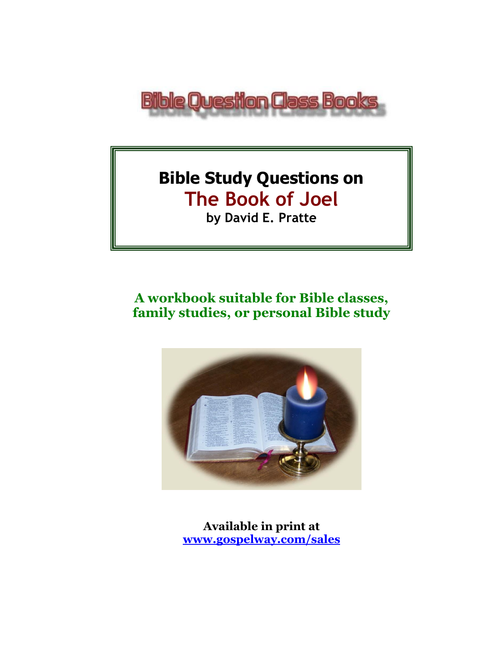

# **Bible Study Questions on The Book of Joel by David E. Pratte**

# **A workbook suitable for Bible classes, family studies, or personal Bible study**



**Available in print at [www.gospelway.com/sales](https://www.gospelway.com/sales)**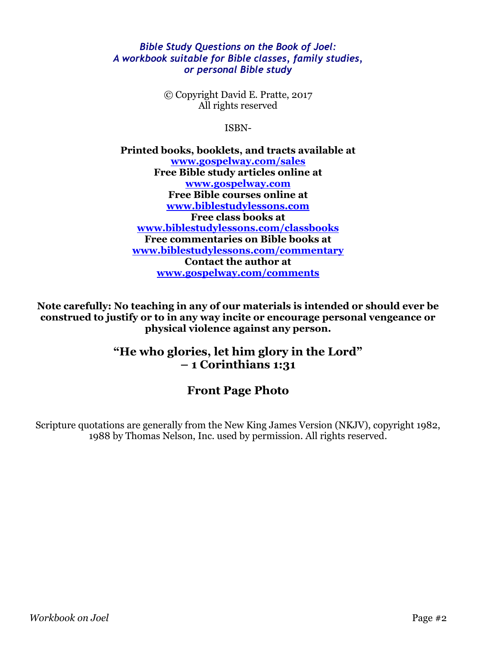### *Bible Study Questions on the Book of Joel: A workbook suitable for Bible classes, family studies, or personal Bible study*

© Copyright David E. Pratte, 2017 All rights reserved

ISBN-

**Printed books, booklets, and tracts available at [www.gospelway.com/sales](https://www.gospelway.com/sales) Free Bible study articles online at [www.gospelway.com](http://www.gospelway.com/) Free Bible courses online at [www.biblestudylessons.com](http://www.biblestudylessons.com/) Free class books at [www.biblestudylessons.com/classbooks](http://www.biblestudylessons.com/classbooks) Free commentaries on Bible books at [www.biblestudylessons.com/commentary](https://www.biblestudylessons.com/commentary) Contact the author at [www.gospelway.com/comments](http://www.gospelway.com/comments)**

**Note carefully: No teaching in any of our materials is intended or should ever be construed to justify or to in any way incite or encourage personal vengeance or physical violence against any person.**

### **"He who glories, let him glory in the Lord" – 1 Corinthians 1:31**

## **Front Page Photo**

Scripture quotations are generally from the New King James Version (NKJV), copyright 1982, 1988 by Thomas Nelson, Inc. used by permission. All rights reserved.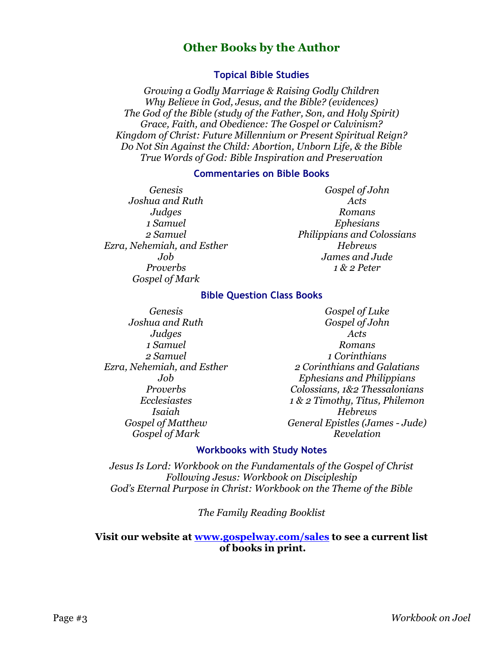### **Other Books by the Author**

### **Topical Bible Studies**

*Growing a Godly Marriage & Raising Godly Children Why Believe in God, Jesus, and the Bible? (evidences) The God of the Bible (study of the Father, Son, and Holy Spirit) Grace, Faith, and Obedience: The Gospel or Calvinism? Kingdom of Christ: Future Millennium or Present Spiritual Reign? Do Not Sin Against the Child: Abortion, Unborn Life, & the Bible True Words of God: Bible Inspiration and Preservation*

#### **Commentaries on Bible Books**

*Genesis Joshua and Ruth Judges 1 Samuel 2 Samuel Ezra, Nehemiah, and Esther Job Proverbs Gospel of Mark* 

*Gospel of John Acts Romans Ephesians Philippians and Colossians Hebrews James and Jude 1 & 2 Peter*

#### **Bible Question Class Books**

*Genesis Joshua and Ruth Judges 1 Samuel 2 Samuel Ezra, Nehemiah, and Esther Job Proverbs Ecclesiastes Isaiah Gospel of Matthew Gospel of Mark*

*Gospel of Luke Gospel of John Acts Romans 1 Corinthians 2 Corinthians and Galatians Ephesians and Philippians Colossians, 1&2 Thessalonians 1 & 2 Timothy, Titus, Philemon Hebrews General Epistles (James - Jude) Revelation*

### **Workbooks with Study Notes**

*Jesus Is Lord: Workbook on the Fundamentals of the Gospel of Christ Following Jesus: Workbook on Discipleship God's Eternal Purpose in Christ: Workbook on the Theme of the Bible*

*The Family Reading Booklist*

### **Visit our website at [www.gospelway.com/sales](https://www.gospelway.com/sales) to see a current list of books in print.**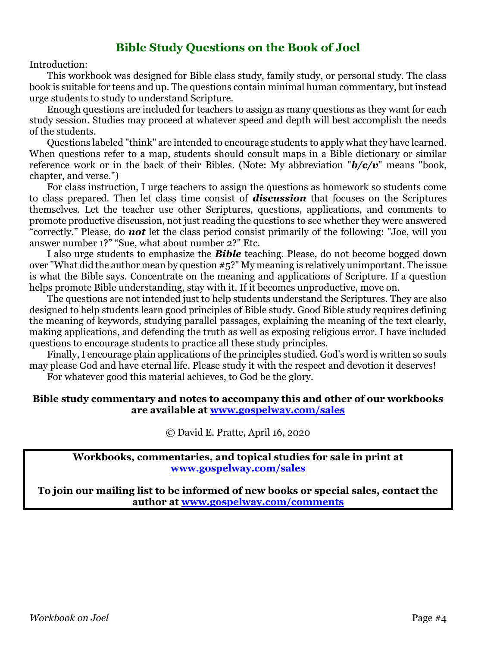### **Bible Study Questions on the Book of Joel**

Introduction:

This workbook was designed for Bible class study, family study, or personal study. The class book is suitable for teens and up. The questions contain minimal human commentary, but instead urge students to study to understand Scripture.

Enough questions are included for teachers to assign as many questions as they want for each study session. Studies may proceed at whatever speed and depth will best accomplish the needs of the students.

Questions labeled "think" are intended to encourage students to apply what they have learned. When questions refer to a map, students should consult maps in a Bible dictionary or similar reference work or in the back of their Bibles. (Note: My abbreviation "*b/c/v*" means "book, chapter, and verse.")

For class instruction, I urge teachers to assign the questions as homework so students come to class prepared. Then let class time consist of *discussion* that focuses on the Scriptures themselves. Let the teacher use other Scriptures, questions, applications, and comments to promote productive discussion, not just reading the questions to see whether they were answered "correctly." Please, do *not* let the class period consist primarily of the following: "Joe, will you answer number 1?" "Sue, what about number 2?" Etc.

I also urge students to emphasize the *Bible* teaching. Please, do not become bogged down over "What did the author mean by question #5?" My meaning is relatively unimportant. The issue is what the Bible says. Concentrate on the meaning and applications of Scripture. If a question helps promote Bible understanding, stay with it. If it becomes unproductive, move on.

The questions are not intended just to help students understand the Scriptures. They are also designed to help students learn good principles of Bible study. Good Bible study requires defining the meaning of keywords, studying parallel passages, explaining the meaning of the text clearly, making applications, and defending the truth as well as exposing religious error. I have included questions to encourage students to practice all these study principles.

Finally, I encourage plain applications of the principles studied. God's word is written so souls may please God and have eternal life. Please study it with the respect and devotion it deserves!

For whatever good this material achieves, to God be the glory.

### **Bible study commentary and notes to accompany this and other of our workbooks are available at [www.gospelway.com/sales](https://www.gospelway.com/sales)**

© David E. Pratte, April 16, 2020

**Workbooks, commentaries, and topical studies for sale in print at [www.gospelway.com/sales](https://www.gospelway.com/sales)**

**To join our mailing list to be informed of new books or special sales, contact the author at [www.gospelway.com/comments](http://www.gospelway.com/comments)**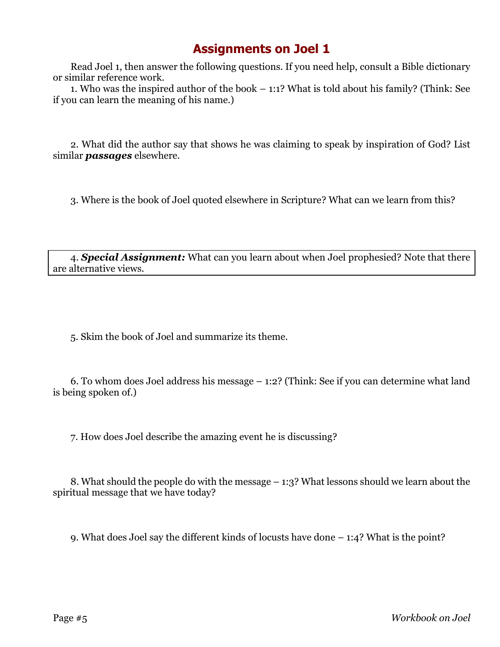# **Assignments on Joel 1**

Read Joel 1, then answer the following questions. If you need help, consult a Bible dictionary or similar reference work.

1. Who was the inspired author of the book – 1:1? What is told about his family? (Think: See if you can learn the meaning of his name.)

2. What did the author say that shows he was claiming to speak by inspiration of God? List similar *passages* elsewhere.

3. Where is the book of Joel quoted elsewhere in Scripture? What can we learn from this?

4. *Special Assignment:* What can you learn about when Joel prophesied? Note that there are alternative views.

5. Skim the book of Joel and summarize its theme.

6. To whom does Joel address his message – 1:2? (Think: See if you can determine what land is being spoken of.)

7. How does Joel describe the amazing event he is discussing?

8. What should the people do with the message – 1:3? What lessons should we learn about the spiritual message that we have today?

9. What does Joel say the different kinds of locusts have done – 1:4? What is the point?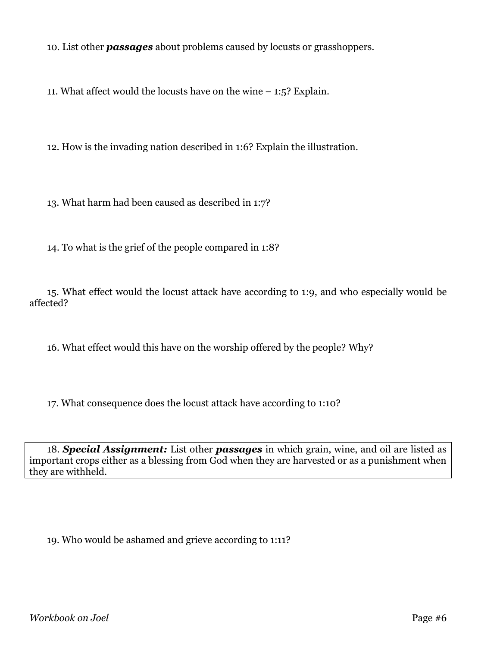10. List other *passages* about problems caused by locusts or grasshoppers.

11. What affect would the locusts have on the wine – 1:5? Explain.

12. How is the invading nation described in 1:6? Explain the illustration.

13. What harm had been caused as described in 1:7?

14. To what is the grief of the people compared in 1:8?

15. What effect would the locust attack have according to 1:9, and who especially would be affected?

16. What effect would this have on the worship offered by the people? Why?

17. What consequence does the locust attack have according to 1:10?

18. *Special Assignment:* List other *passages* in which grain, wine, and oil are listed as important crops either as a blessing from God when they are harvested or as a punishment when they are withheld.

19. Who would be ashamed and grieve according to 1:11?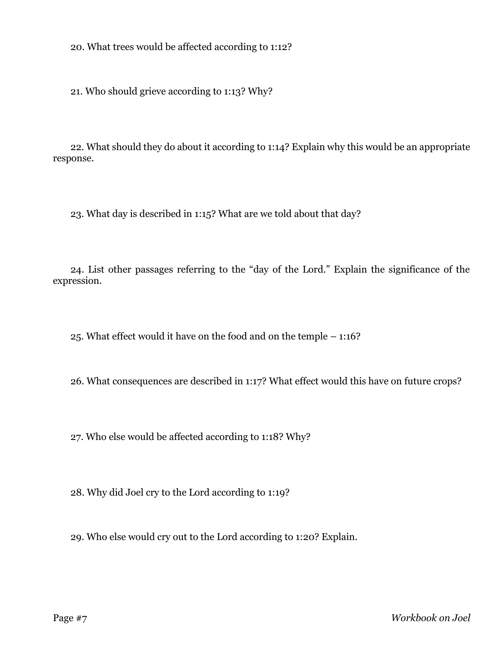20. What trees would be affected according to 1:12?

21. Who should grieve according to 1:13? Why?

22. What should they do about it according to 1:14? Explain why this would be an appropriate response.

23. What day is described in 1:15? What are we told about that day?

24. List other passages referring to the "day of the Lord." Explain the significance of the expression.

25. What effect would it have on the food and on the temple – 1:16?

26. What consequences are described in 1:17? What effect would this have on future crops?

27. Who else would be affected according to 1:18? Why?

28. Why did Joel cry to the Lord according to 1:19?

29. Who else would cry out to the Lord according to 1:20? Explain.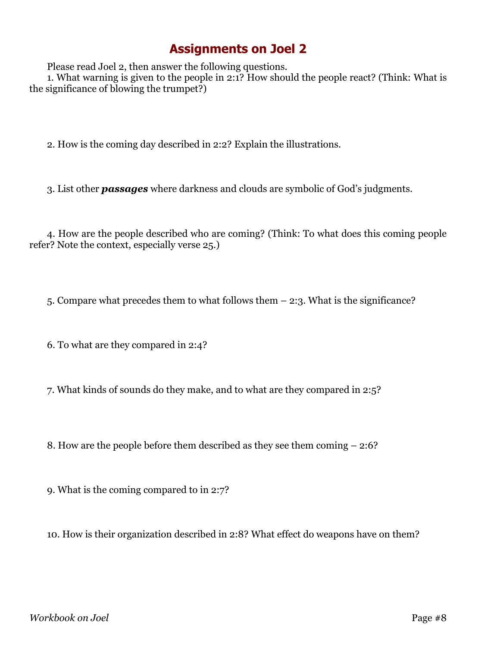# **Assignments on Joel 2**

Please read Joel 2, then answer the following questions.

1. What warning is given to the people in 2:1? How should the people react? (Think: What is the significance of blowing the trumpet?)

2. How is the coming day described in 2:2? Explain the illustrations.

3. List other *passages* where darkness and clouds are symbolic of God's judgments.

4. How are the people described who are coming? (Think: To what does this coming people refer? Note the context, especially verse 25.)

5. Compare what precedes them to what follows them – 2:3. What is the significance?

6. To what are they compared in 2:4?

7. What kinds of sounds do they make, and to what are they compared in 2:5?

8. How are the people before them described as they see them coming – 2:6?

9. What is the coming compared to in 2:7?

10. How is their organization described in 2:8? What effect do weapons have on them?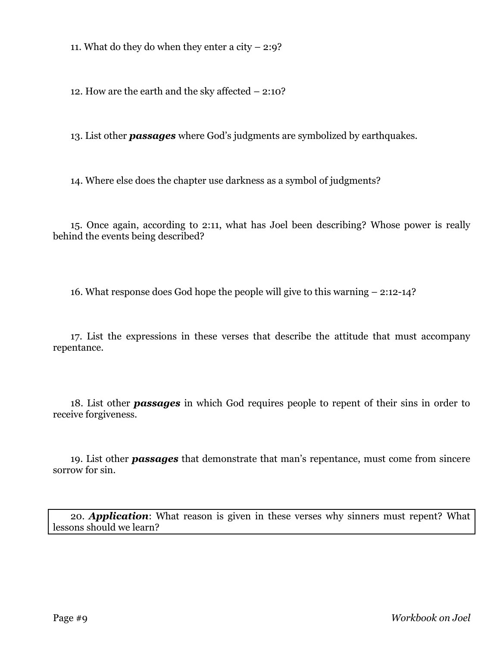11. What do they do when they enter a city  $-2:9$ ?

12. How are the earth and the sky affected – 2:10?

13. List other *passages* where God's judgments are symbolized by earthquakes.

14. Where else does the chapter use darkness as a symbol of judgments?

15. Once again, according to 2:11, what has Joel been describing? Whose power is really behind the events being described?

16. What response does God hope the people will give to this warning – 2:12-14?

17. List the expressions in these verses that describe the attitude that must accompany repentance.

18. List other *passages* in which God requires people to repent of their sins in order to receive forgiveness.

19. List other *passages* that demonstrate that man's repentance, must come from sincere sorrow for sin.

20. *Application*: What reason is given in these verses why sinners must repent? What lessons should we learn?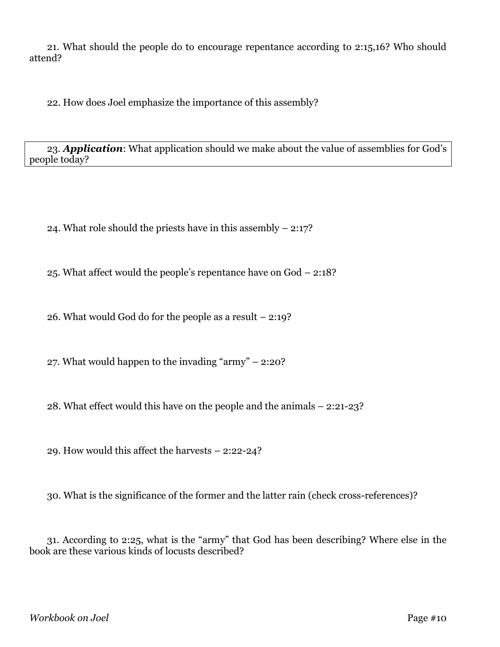21. What should the people do to encourage repentance according to 2:15,16? Who should attend?

22. How does Joel emphasize the importance of this assembly?

23. *Application*: What application should we make about the value of assemblies for God's people today?

24. What role should the priests have in this assembly – 2:17?

25. What affect would the people's repentance have on God – 2:18?

26. What would God do for the people as a result – 2:19?

27. What would happen to the invading "army" – 2:20?

28. What effect would this have on the people and the animals – 2:21-23?

29. How would this affect the harvests – 2:22-24?

30. What is the significance of the former and the latter rain (check cross-references)?

31. According to 2:25, what is the "army" that God has been describing? Where else in the book are these various kinds of locusts described?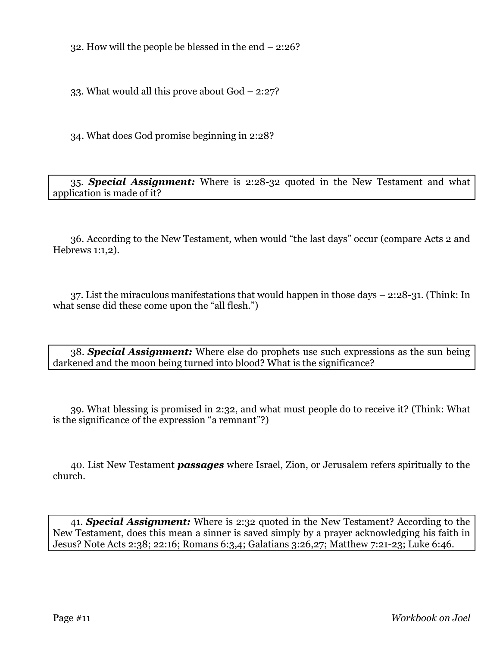32. How will the people be blessed in the end – 2:26?

33. What would all this prove about God – 2:27?

34. What does God promise beginning in 2:28?

35. *Special Assignment:* Where is 2:28-32 quoted in the New Testament and what application is made of it?

36. According to the New Testament, when would "the last days" occur (compare Acts 2 and Hebrews 1:1,2).

37. List the miraculous manifestations that would happen in those days – 2:28-31. (Think: In what sense did these come upon the "all flesh.")

38. *Special Assignment:* Where else do prophets use such expressions as the sun being darkened and the moon being turned into blood? What is the significance?

39. What blessing is promised in 2:32, and what must people do to receive it? (Think: What is the significance of the expression "a remnant"?)

40. List New Testament *passages* where Israel, Zion, or Jerusalem refers spiritually to the church.

41. *Special Assignment:* Where is 2:32 quoted in the New Testament? According to the New Testament, does this mean a sinner is saved simply by a prayer acknowledging his faith in Jesus? Note Acts 2:38; 22:16; Romans 6:3,4; Galatians 3:26,27; Matthew 7:21-23; Luke 6:46.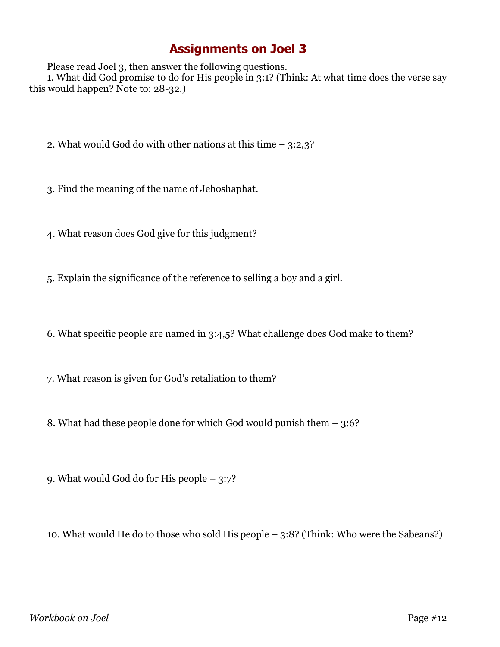# **Assignments on Joel 3**

Please read Joel 3, then answer the following questions.

1. What did God promise to do for His people in 3:1? (Think: At what time does the verse say this would happen? Note to: 28-32.)

- 2. What would God do with other nations at this time 3:2,3?
- 3. Find the meaning of the name of Jehoshaphat.
- 4. What reason does God give for this judgment?
- 5. Explain the significance of the reference to selling a boy and a girl.
- 6. What specific people are named in 3:4,5? What challenge does God make to them?
- 7. What reason is given for God's retaliation to them?
- 8. What had these people done for which God would punish them 3:6?
- 9. What would God do for His people 3:7?
- 10. What would He do to those who sold His people 3:8? (Think: Who were the Sabeans?)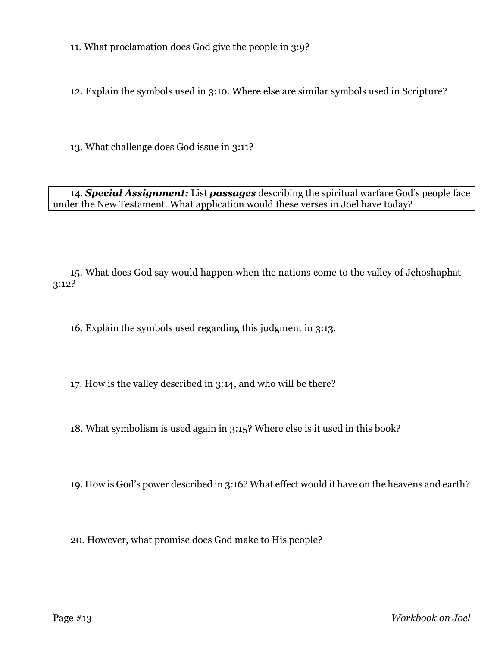11. What proclamation does God give the people in 3:9?

12. Explain the symbols used in 3:10. Where else are similar symbols used in Scripture?

13. What challenge does God issue in 3:11?

14. *Special Assignment:* List *passages* describing the spiritual warfare God's people face under the New Testament. What application would these verses in Joel have today?

15. What does God say would happen when the nations come to the valley of Jehoshaphat – 3:12?

16. Explain the symbols used regarding this judgment in 3:13.

17. How is the valley described in 3:14, and who will be there?

18. What symbolism is used again in 3:15? Where else is it used in this book?

19. How is God's power described in 3:16? What effect would it have on the heavens and earth?

20. However, what promise does God make to His people?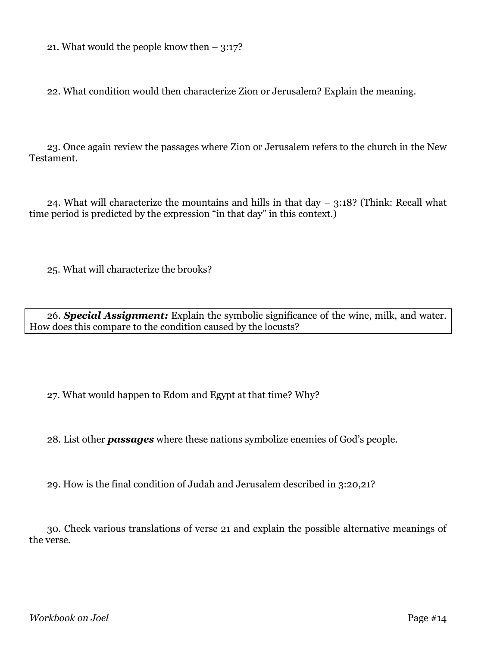21. What would the people know then  $-3:17$ ?

22. What condition would then characterize Zion or Jerusalem? Explain the meaning.

23. Once again review the passages where Zion or Jerusalem refers to the church in the New Testament.

24. What will characterize the mountains and hills in that day  $-$  3:18? (Think: Recall what time period is predicted by the expression "in that day" in this context.)

25. What will characterize the brooks?

26. *Special Assignment:* Explain the symbolic significance of the wine, milk, and water. How does this compare to the condition caused by the locusts?

27. What would happen to Edom and Egypt at that time? Why?

28. List other *passages* where these nations symbolize enemies of God's people.

29. How is the final condition of Judah and Jerusalem described in 3:20,21?

30. Check various translations of verse 21 and explain the possible alternative meanings of the verse.